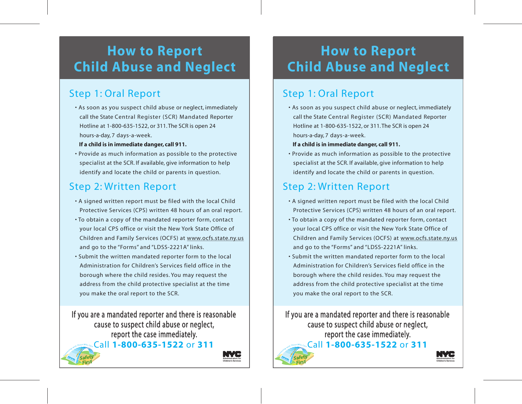## **How to Report Child Abuse and Neglect**

### Step 1: Oral Report

• As soon as you suspect child abuse or neglect, immediately call the State Central Register (SCR) Mandated Reporter Hotline at 1-800-635-1522, or 311. The SCR is open 24 hours-a-day, 7 days-a-week.

#### **If a child is in immediate danger, call 911.**

• Provide as much information as possible to the protective specialist at the SCR. If available, give information to help identify and locate the child or parents in question.

#### Step 2: Written Report

- A signed written report must be filed with the local Child Protective Services (CPS) written 48 hours of an oral report.
- To obtain a copy of the mandated reporter form, contact your local CPS office or visit the New York State Office of Children and Family Services (OCFS) at www.ocfs.state.ny.us and go to the "Forms" and "LDSS-2221A" links.
- Submit the written mandated reporter form to the local Administration for Children's Services field office in the borough where the child resides. You may request the address from the child protective specialist at the time you make the oral report to the SCR.

If you are a mandated reporter and there is reasonable cause to suspect child abuse or neglect, report the case immediately. Call **1-800-635-1522** or **311** *C*<sub>arr</sub>and *with* Those *Who Care* 



*C*<sub>O</sub><sub>C</sub>

**Children's Services**

## **Child Abuse and Neglect How to Report**

#### Step 1: Oral Report

l

 • As soon as you suspect child abuse or neglect, immediately call the State Central Register (SCR) Mandated Reporter  Hotline at 1-800-635-1522, or 311. The SCR is open 24 hours-a-day, 7 days-a-week.

#### **If a child is in immediate danger, call 911.**

 • Provide as much information as possible to the protective able, give information specialist at the SCR. If available, give information to help identify and locate the child or parents in question.

### Step 2: Written Report

- A signed written report must be filed with the local Child Protective Services (CPS) written 48 hours of an oral report.
- $\overline{a}$  • To obtain a copy of the mandated reporter form, contact your local CPS office or visit the New York State Office of Children and Family Services (OCFS) at www.ocfs.state.ny.us and go to the "Forms" and "LDSS-2221A" links.
- ļ . Administration for Children's Services field office in the • Submit the written mandated reporter form to the local borough where the child resides. You may request the address from the child protective specialist at the time you make the oral report to the SCR.

 If you are a mandated reporter and there is reasonable nect child abuse or neglec Call **1-800-635-1522** or **311** cause to suspect child abuse or neglect, report the case immediately.

> **Administration for Children's Services**